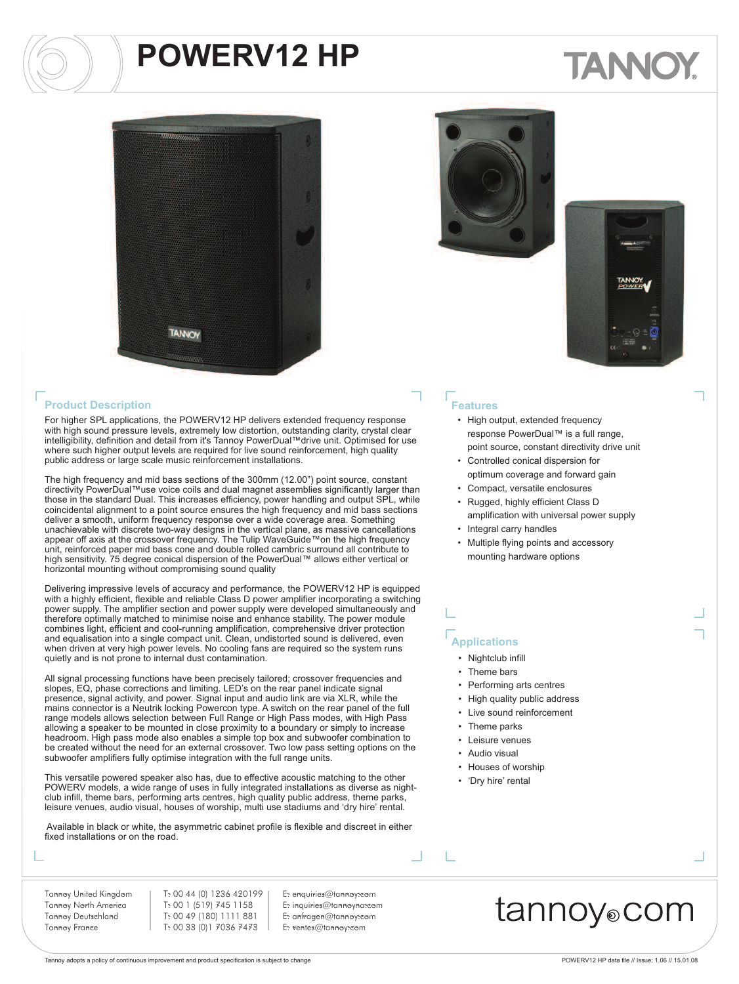# TANNO



#### **Product Description**

For higher SPL applications, the POWERV12 HP delivers extended frequency response with high sound pressure levels, extremely low distortion, outstanding clarity, crystal clear intelligibility, definition and detail from it's Tannoy PowerDual™drive unit. Optimised for use where such higher output levels are required for live sound reinforcement, high quality public address or large scale music reinforcement installations.

The high frequency and mid bass sections of the 300mm (12.00") point source, constant directivity PowerDual™use voice coils and dual magnet assemblies significantly larger than those in the standard Dual. This increases efficiency, power handling and output SPL, while coincidental alignment to a point source ensures the high frequency and mid bass sections deliver a smooth, uniform frequency response over a wide coverage area. Something unachievable with discrete two-way designs in the vertical plane, as massive cancellations appear off axis at the crossover frequency. The Tulip WaveGuide™on the high frequency unit, reinforced paper mid bass cone and double rolled cambric surround all contribute to high sensitivity. 75 degree conical dispersion of the PowerDual™ allows either vertical or horizontal mounting without compromising sound quality

Delivering impressive levels of accuracy and performance, the POWERV12 HP is equipped with a highly efficient, flexible and reliable Class D power amplifier incorporating a switching power supply. The amplifier section and power supply were developed simultaneously and therefore optimally matched to minimise noise and enhance stability. The power module combines light, efficient and cool-running amplification, comprehensive driver protection and equalisation into a single compact unit. Clean, undistorted sound is delivered, even when driven at very high power levels. No cooling fans are required so the system runs quietly and is not prone to internal dust contamination.

All signal processing functions have been precisely tailored; crossover frequencies and slopes, EQ, phase corrections and limiting. LED's on the rear panel indicate signal presence, signal activity, and power. Signal input and audio link are via XLR, while the mains connector is a Neutrik locking Powercon type. A switch on the rear panel of the full range models allows selection between Full Range or High Pass modes, with High Pass allowing a speaker to be mounted in close proximity to a boundary or simply to increase headroom. High pass mode also enables a simple top box and subwoofer combination to be created without the need for an external crossover. Two low pass setting options on the subwoofer amplifiers fully optimise integration with the full range units.

This versatile powered speaker also has, due to effective acoustic matching to the other POWERV models, a wide range of uses in fully integrated installations as diverse as nightclub infill, theme bars, performing arts centres, high quality public address, theme parks, leisure venues, audio visual, houses of worship, multi use stadiums and 'dry hire' rental.

Available in black or white, the asymmetric cabinet profile is flexible and discreet in either fixed installations or on the road.





#### **Features**

- High output, extended frequency response PowerDual™ is a full range, point source, constant directivity drive unit
- Controlled conical dispersion for optimum coverage and forward gain
- Compact, versatile enclosures • Rugged, highly efficient Class D
- amplification with universal power supply • Integral carry handles
- Multiple flying points and accessory mounting hardware options

#### **Applications**

- Nightclub infill
- Theme bars
- Performing arts centres
- High quality public address
- Live sound reinforcement
- Theme parks
- Leisure venues
- Audio visual
- Houses of worship
- 'Dry hire' rental

Tannoy United Kingdom Tannoy North America Tannoy Deutschland Tannoy France

T: 00 44 (0) 1236 420199 T: 00 1 (519) 745 1158 T: 00 49 (180) 1111 881 T: 00 33 (0)1 7036 7473

E: enquiries@tannoy.com E: inquiries@tannoyna.com E: anfragen@tannoy.com E: ventes@tannoy.com

tannoy⊚com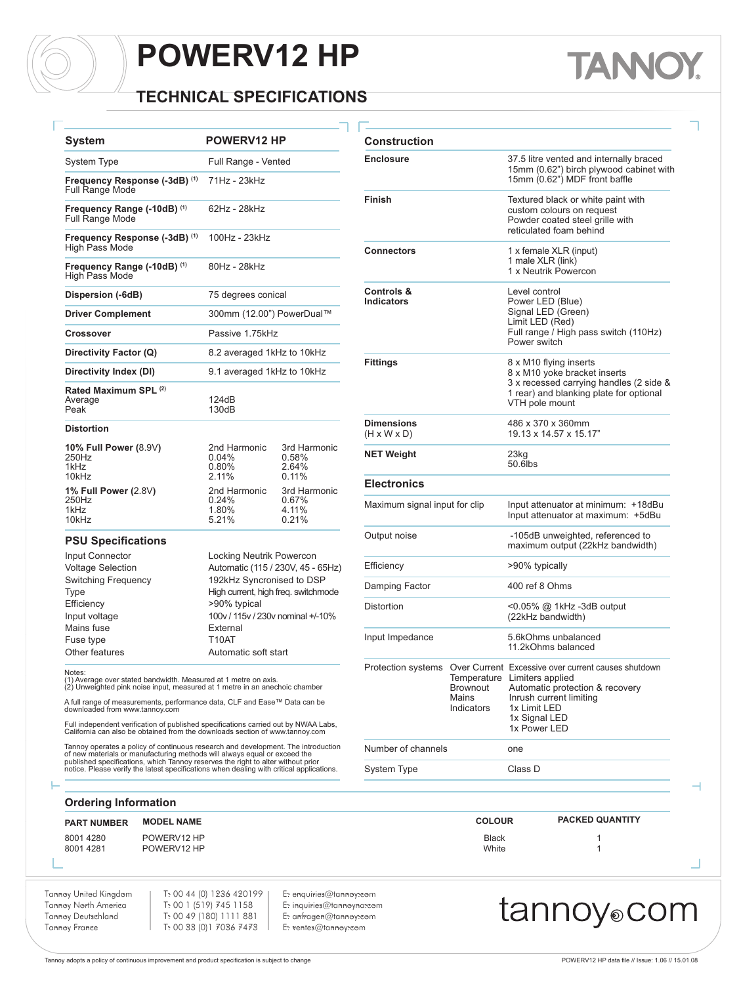#### **TECHNICAL SPECIFICATIONS**

| <b>System</b>                                           | <b>POWERV12 HP</b>                      |                                                     | Construction                                 |
|---------------------------------------------------------|-----------------------------------------|-----------------------------------------------------|----------------------------------------------|
| <b>System Type</b>                                      | Full Range - Vented                     |                                                     | <b>Enclosure</b>                             |
| Frequency Response (-3dB) (1)<br><b>Full Range Mode</b> | 71Hz - 23kHz                            |                                                     |                                              |
| Frequency Range (-10dB) (1)<br><b>Full Range Mode</b>   | 62Hz - 28kHz                            |                                                     | Finish                                       |
| Frequency Response (-3dB) (1)<br>High Pass Mode         | 100Hz - 23kHz                           |                                                     | <b>Connectors</b>                            |
| Frequency Range (-10dB) (1)<br><b>High Pass Mode</b>    | 80Hz - 28kHz                            |                                                     |                                              |
| Dispersion (-6dB)                                       | 75 degrees conical                      |                                                     | Controls &<br><b>Indicators</b>              |
| <b>Driver Complement</b>                                |                                         | 300mm (12.00") PowerDual™                           |                                              |
| Crossover                                               | Passive 1.75kHz                         |                                                     |                                              |
| Directivity Factor (Q)                                  | 8.2 averaged 1kHz to 10kHz              |                                                     |                                              |
| Directivity Index (DI)                                  | 9.1 averaged 1kHz to 10kHz              |                                                     | <b>Fittings</b>                              |
| Rated Maximum SPL (2)<br>Average<br>Peak                | 124dB<br>130dB                          |                                                     |                                              |
| <b>Distortion</b>                                       |                                         |                                                     | <b>Dimensions</b><br>$(H \times W \times D)$ |
| 10% Full Power (8.9V)<br>250Hz<br>1kHz<br>10kHz         | 2nd Harmonic<br>0.04%<br>0.80%<br>2.11% | 3rd Harmonic<br>0.58%<br>2.64%<br>0.11%             | <b>NET Weight</b>                            |
| 1% Full Power (2.8V)                                    | 2nd Harmonic                            | 3rd Harmonic                                        | <b>Electronics</b>                           |
| 250Hz<br>1kHz<br>10kHz                                  | 0.24%<br>1.80%<br>5.21%                 | 0.67%<br>4.11%<br>0.21%                             | Maximum signal                               |
| <b>PSU Specifications</b>                               |                                         |                                                     | Output noise                                 |
| Input Connector<br><i>Voltage</i> Cologian              | <b>Locking Neutrik Powercon</b>         | $\Lambda$ utomotio (115 / 220) / $\Lambda$ E CELI-) | Ffficiency                                   |

Voltage Selection Automatic (115 / 230V, 45 - 65Hz) Switching Frequency 192kHz Syncronised to DSP Type **High current, high freq. switchmode** Efficiency  $>90\%$  typical Input voltage 100v / 115v / 230v nominal +/-10% Mains fuse External<br>
Fuse type T10AT Fuse type Other features **Automatic soft start** 

#### Notes:

(1) Average over stated bandwidth. Measured at 1 metre on axis. (2) Unweighted pink noise input, measured at 1 metre in an anechoic chamber

A full range of measurements, performance data, CLF and Ease™ Data can be downloaded from www.tannoy.com

Full independent verification of published specifications carried out by NWAA Labs, California can also be obtained from the downloads section of www.tannoy.com

Tannoy operates a policy of continuous research and development. The introduction<br>of new materials or manufacturing methods will always equal or exceed the<br>published specifications, which Tannoy reserves the right to alter

| <b>Construction</b>                          |                                                       |                                                                                                                                                                                                           |
|----------------------------------------------|-------------------------------------------------------|-----------------------------------------------------------------------------------------------------------------------------------------------------------------------------------------------------------|
| <b>Enclosure</b>                             |                                                       | 37.5 litre vented and internally braced<br>15mm (0.62") birch plywood cabinet with<br>15mm (0.62") MDF front baffle                                                                                       |
| Finish                                       |                                                       | Textured black or white paint with<br>custom colours on request<br>Powder coated steel grille with<br>reticulated foam behind                                                                             |
| <b>Connectors</b>                            |                                                       | 1 x female XLR (input)<br>1 male XLR (link)<br>1 x Neutrik Powercon                                                                                                                                       |
| Controls &<br><b>Indicators</b>              |                                                       | Level control<br>Power LED (Blue)<br>Signal LED (Green)<br>Limit LED (Red)<br>Full range / High pass switch (110Hz)<br>Power switch                                                                       |
| <b>Fittings</b>                              |                                                       | 8 x M10 flying inserts<br>8 x M10 yoke bracket inserts<br>3 x recessed carrying handles (2 side &<br>1 rear) and blanking plate for optional<br>VTH pole mount                                            |
| <b>Dimensions</b><br>$(H \times W \times D)$ |                                                       | 486 x 370 x 360mm<br>19.13 x 14.57 x 15.17"                                                                                                                                                               |
| <b>NET Weight</b>                            |                                                       | 23ka<br>50.6lbs                                                                                                                                                                                           |
| <b>Electronics</b>                           |                                                       |                                                                                                                                                                                                           |
| Maximum signal input for clip                |                                                       | Input attenuator at minimum: +18dBu<br>Input attenuator at maximum: +5dBu                                                                                                                                 |
| Output noise                                 |                                                       | -105dB unweighted, referenced to<br>maximum output (22kHz bandwidth)                                                                                                                                      |
| Efficiency                                   |                                                       | >90% typically                                                                                                                                                                                            |
| Damping Factor                               |                                                       | 400 ref 8 Ohms                                                                                                                                                                                            |
| <b>Distortion</b>                            |                                                       | <0.05% @ 1kHz -3dB output<br>(22kHz bandwidth)                                                                                                                                                            |
| Input Impedance                              |                                                       | 5.6kOhms unbalanced<br>11.2kOhms balanced                                                                                                                                                                 |
|                                              | Temperature<br><b>Brownout</b><br>Mains<br>Indicators | Protection systems Over Current Excessive over current causes shutdown<br>Limiters applied<br>Automatic protection & recovery<br>Inrush current limiting<br>1x Limit LED<br>1x Signal LED<br>1x Power LED |
| Number of channels                           |                                                       | one                                                                                                                                                                                                       |
| <b>System Type</b>                           |                                                       | Class D                                                                                                                                                                                                   |

**TANN** 

**Ordering Information**

| <b>PART NUMBER</b>   | <b>MODEL NAME</b>          | <b>COLOUR</b>         | <b>PACKED QUANTITY</b> |
|----------------------|----------------------------|-----------------------|------------------------|
| 80014280<br>80014281 | POWERV12 HP<br>POWERV12 HP | <b>Black</b><br>White |                        |

Tannoy United Kingdom Tannoy North America Tannoy Deutschland Tannoy France

T: 00 44 (0) 1236 420199 T: 00 1 (519) 745 1158 T: 00 49 (180) 1111 881 T: 00 33 (0)1 7036 7473

E: enquiries@tannoy.com E: inquiries@tannoyna.com E: anfragen@tannoy.com E: ventes@tannoy.com

### tannoy®com

⊣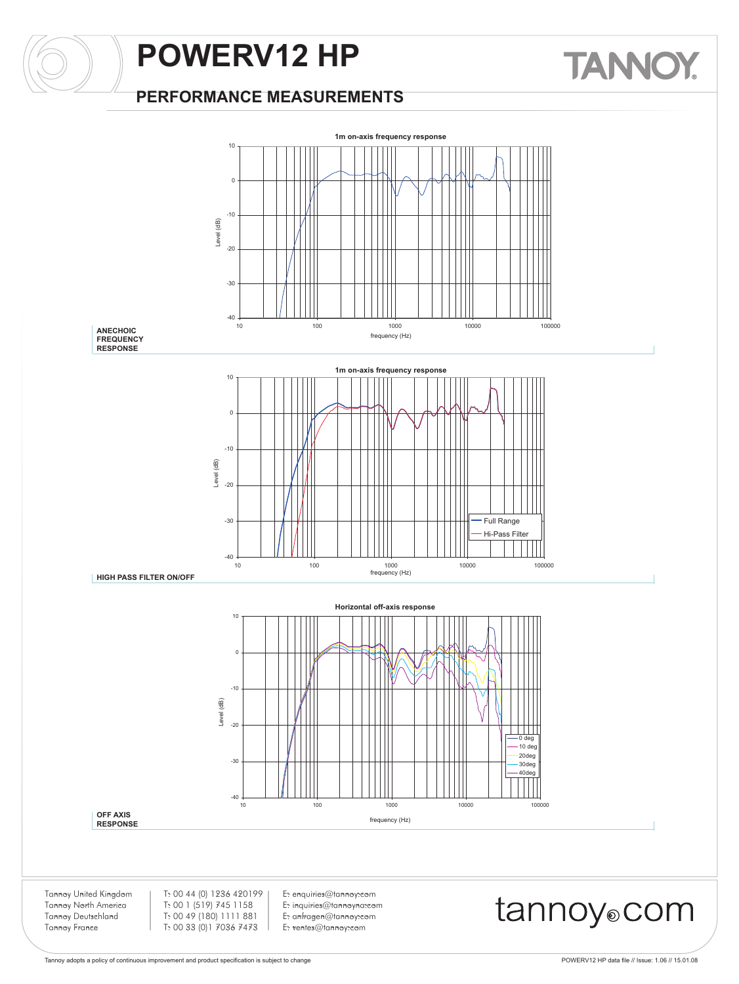#### **PERFORMANCE MEASUREMENTS**



Tannoy adopts a policy of continuous improvement and product specification is subject to change <br>
Tannoy adopts a policy of continuous improvement and product specification is subject to change

**TANNOY**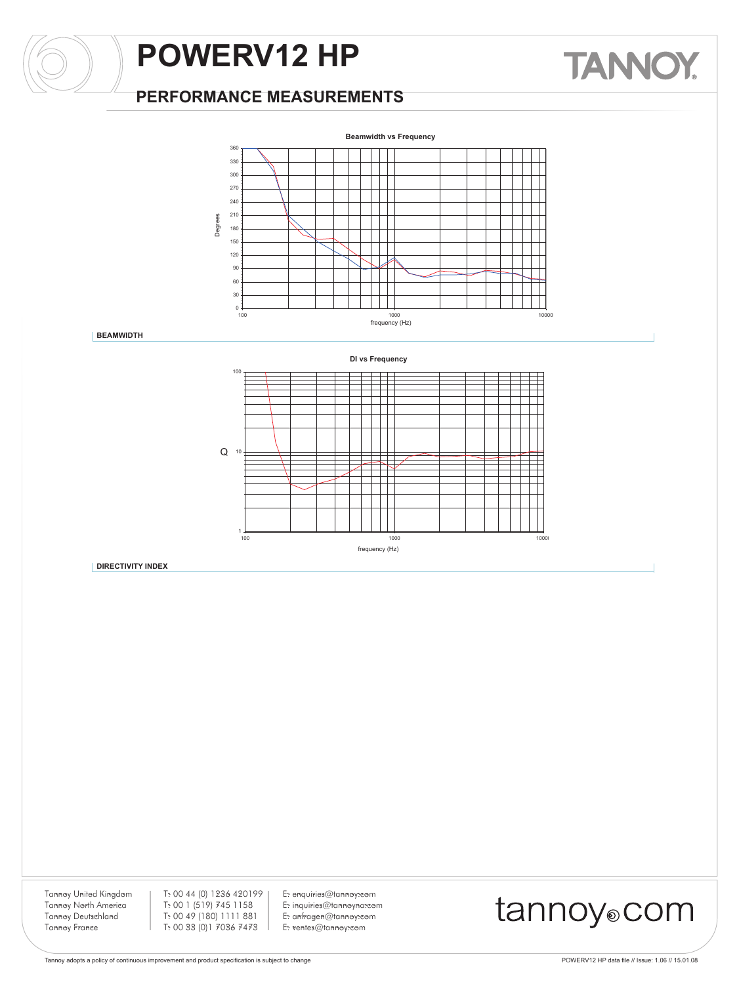#### **PERFORMANCE MEASUREMENTS**



**BEAMWIDTH**



**DIRECTIVITY INDEX**

Tannoy United Kingdom Tannoy North America Tannoy Deutschland Tannoy France

T: 00 44 (0) 1236 420199 T: 00 1 (519) 745 1158 T: 00 49 (180) 1111 881 T: 00 33 (0)1 7036 7473

E: enquiries@tannoy.com E: inquiries@tannoyna.com E: anfragen@tannoy.com E: ventes@tannoy.com

# tannoy®com

**TANNOY.**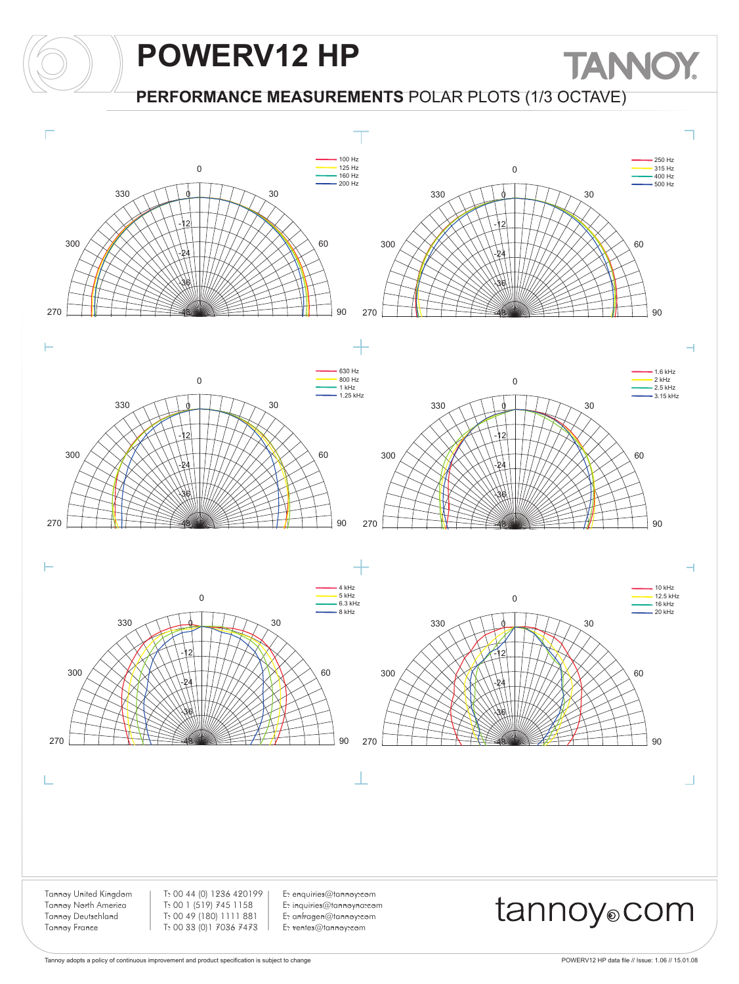#### **PERFORMANCE MEASUREMENTS** POLAR PLOTS (1/3 OCTAVE)



**TANNOY**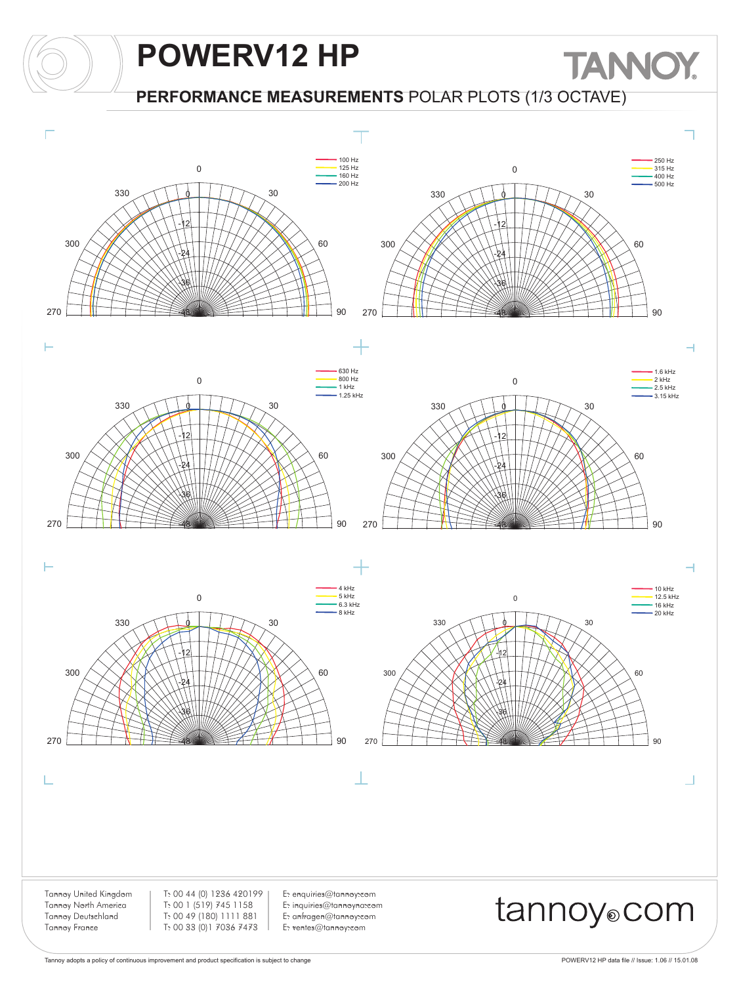#### **PERFORMANCE MEASUREMENTS** POLAR PLOTS (1/3 OCTAVE)



**TANNOY**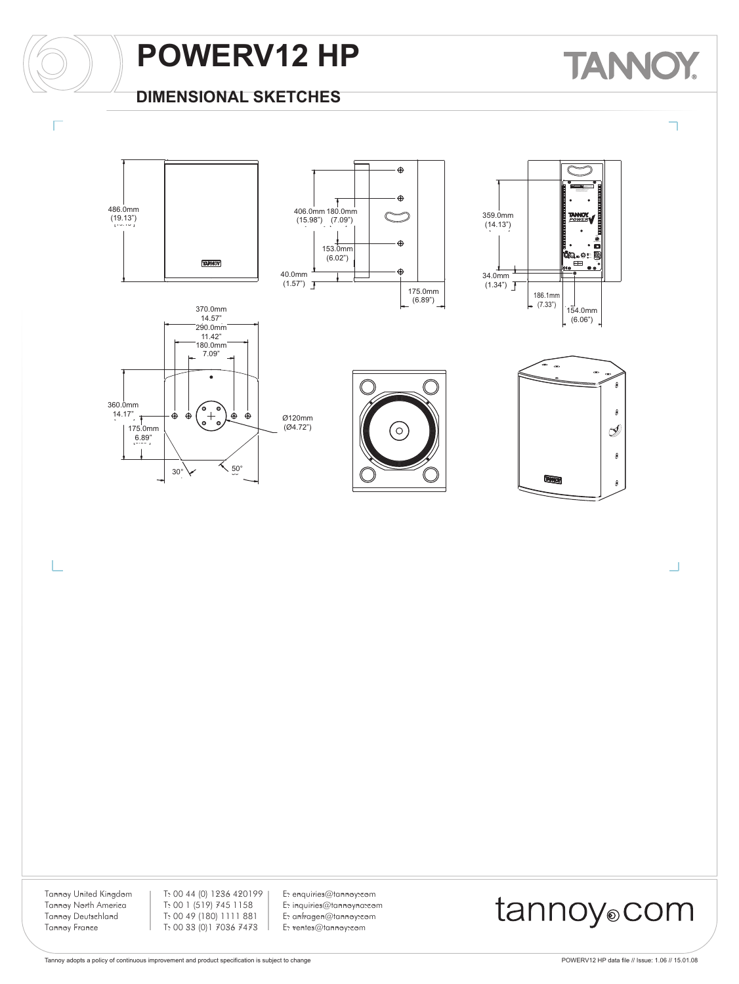

### **DIMENSIONAL SKETCHES**

### **TANK** Y













Ū

Tannoy United Kingdom Tannoy North America Tannoy Deutschland Tannoy France

L

T: 00 44 (0) 1236 420199 T: 00 1 (519) 745 1158 T: 00 49 (180) 1111 881 T: 00 33 (0)1 7036 7473

E: enquiries@tannoy.com E: inquiries@tannoyna.com E: anfragen@tannoy.com E: ventes@tannoy.com

### tannoy®com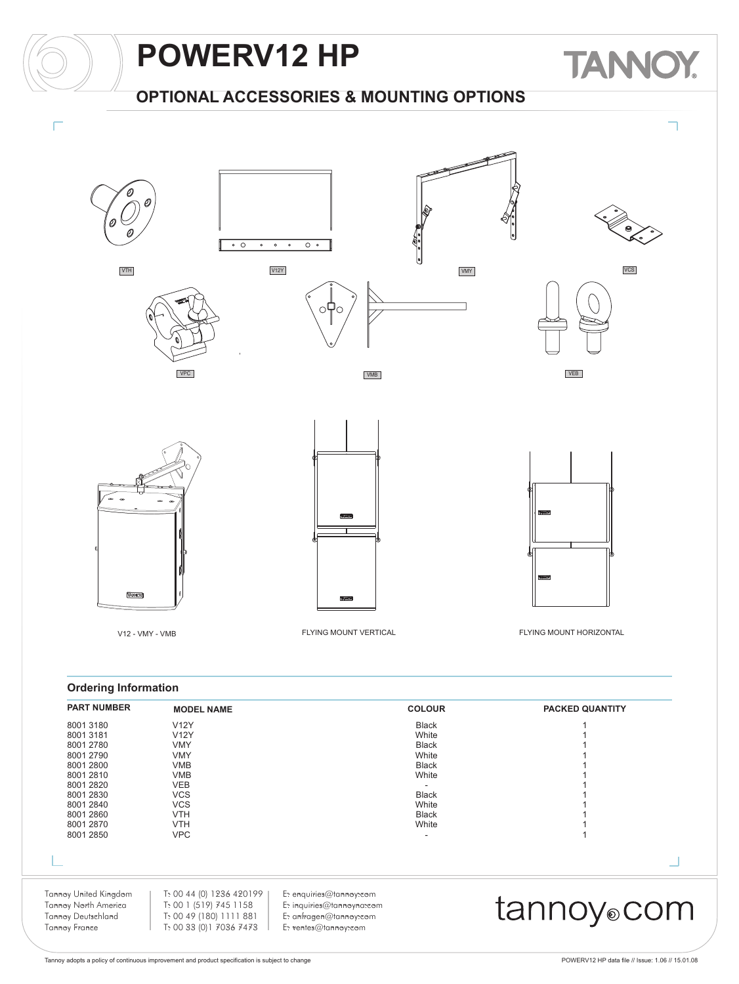

| Tannoy United Kingdom<br>Tannoy North America<br>Tannoy Deutschland<br>Tannoy France                 | T: 00 44 (0) 1236 420199<br>T: 00 1 (519) 745 1158<br>T: 00 49 (180) 1111 881<br>T: 00 33 (0) 1 7036 7473      | E: enquiries@tannoy:com<br>E: inquiries@tannoyna:com<br>E: anfragen@tannoy:com<br>E: ventes@tannoy:com |                                                                                              | tannoy <sub>o</sub> com |  |
|------------------------------------------------------------------------------------------------------|----------------------------------------------------------------------------------------------------------------|--------------------------------------------------------------------------------------------------------|----------------------------------------------------------------------------------------------|-------------------------|--|
| 8001 2840<br>8001 2860<br>8001 2870<br>8001 2850                                                     | <b>VCS</b><br><b>VTH</b><br><b>VTH</b><br><b>VPC</b>                                                           |                                                                                                        | White<br><b>Black</b><br>White<br>۰                                                          |                         |  |
| 8001 3180<br>8001 3181<br>8001 2780<br>8001 2790<br>8001 2800<br>8001 2810<br>8001 2820<br>8001 2830 | <b>V12Y</b><br><b>V12Y</b><br><b>VMY</b><br><b>VMY</b><br><b>VMB</b><br><b>VMB</b><br><b>VEB</b><br><b>VCS</b> |                                                                                                        | <b>Black</b><br>White<br><b>Black</b><br>White<br><b>Black</b><br>White<br>۰<br><b>Black</b> |                         |  |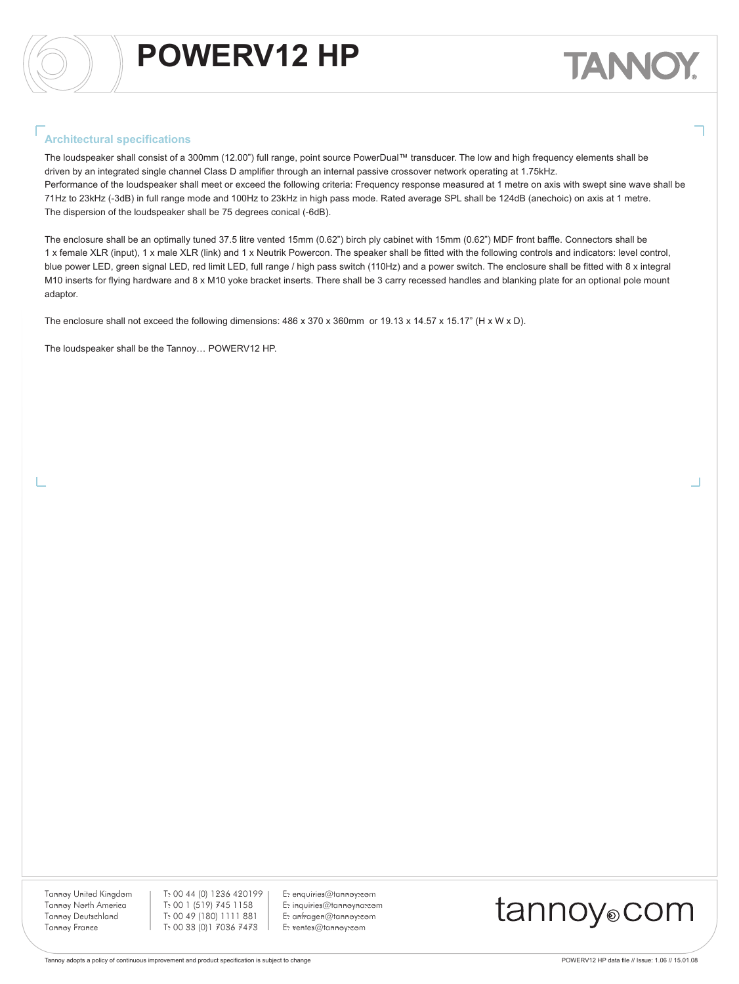#### **Architectural specifications**

The loudspeaker shall consist of a 300mm (12.00") full range, point source PowerDual™ transducer. The low and high frequency elements shall be driven by an integrated single channel Class D amplifier through an internal passive crossover network operating at 1.75kHz. Performance of the loudspeaker shall meet or exceed the following criteria: Frequency response measured at 1 metre on axis with swept sine wave shall be 71Hz to 23kHz (-3dB) in full range mode and 100Hz to 23kHz in high pass mode. Rated average SPL shall be 124dB (anechoic) on axis at 1 metre. The dispersion of the loudspeaker shall be 75 degrees conical (-6dB).

The enclosure shall be an optimally tuned 37.5 litre vented 15mm (0.62") birch ply cabinet with 15mm (0.62") MDF front baffle. Connectors shall be 1 x female XLR (input), 1 x male XLR (link) and 1 x Neutrik Powercon. The speaker shall be fitted with the following controls and indicators: level control, blue power LED, green signal LED, red limit LED, full range / high pass switch (110Hz) and a power switch. The enclosure shall be fitted with 8 x integral M10 inserts for flying hardware and 8 x M10 yoke bracket inserts. There shall be 3 carry recessed handles and blanking plate for an optional pole mount adaptor.

The enclosure shall not exceed the following dimensions: 486 x 370 x 360mm or 19.13 x 14.57 x 15.17" (H x W x D).

The loudspeaker shall be the Tannoy… POWERV12 HP.

Tannoy United Kingdom Tannoy North America Tannoy Deutschland Tannoy France

T: 00 44 (0) 1236 420199 T: 00 1 (519) 745 1158 T: 00 49 (180) 1111 881 T: 00 33 (0)1 7036 7473

E: enquiries@tannoy.com E: inquiries@tannoyna.com E: anfragen@tannoy.com E: ventes@tannoy.com